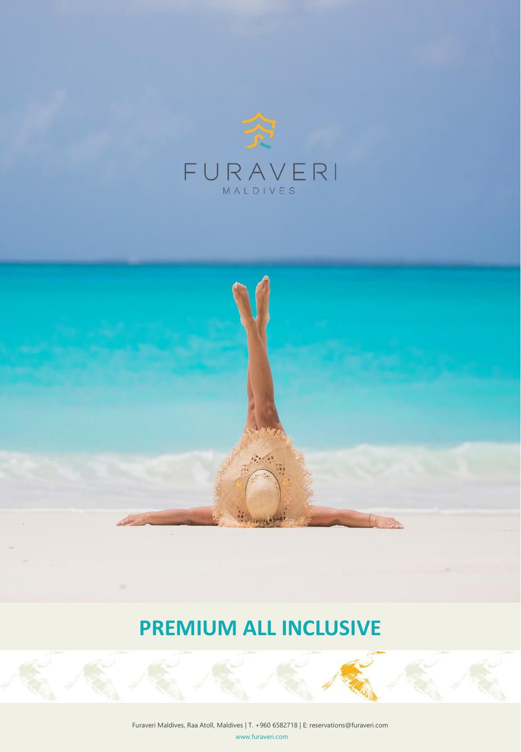



# **PREMIUM ALL INCLUSIVE**

www.furaveri.com Furaveri Maldives, Raa Atoll, Maldives | T. +960 6582718 | E: reservations@furaveri.com